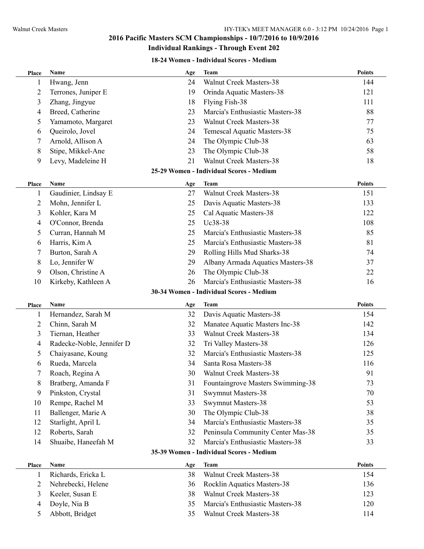#### **18-24 Women - Individual Scores - Medium**

| Place          | Name                      | Age | <b>Team</b>                              | <b>Points</b> |
|----------------|---------------------------|-----|------------------------------------------|---------------|
| 1              | Hwang, Jenn               | 24  | Walnut Creek Masters-38                  | 144           |
| $\overline{c}$ | Terrones, Juniper E       | 19  | Orinda Aquatic Masters-38                | 121           |
| 3              | Zhang, Jingyue            | 18  | Flying Fish-38                           | 111           |
| 4              | Breed, Catherine          | 23  | Marcia's Enthusiastic Masters-38         | 88            |
| 5              | Yamamoto, Margaret        | 23  | <b>Walnut Creek Masters-38</b>           | 77            |
| 6              | Queirolo, Jovel           | 24  | Temescal Aquatic Masters-38              | 75            |
| 7              | Arnold, Allison A         | 24  | The Olympic Club-38                      | 63            |
| 8              | Stipe, Mikkel-Ane         | 23  | The Olympic Club-38                      | 58            |
| 9              | Levy, Madeleine H         | 21  | <b>Walnut Creek Masters-38</b>           | 18            |
|                |                           |     | 25-29 Women - Individual Scores - Medium |               |
| <b>Place</b>   | Name                      | Age | <b>Team</b>                              | <b>Points</b> |
| 1              | Gaudinier, Lindsay E      | 27  | <b>Walnut Creek Masters-38</b>           | 151           |
| 2              | Mohn, Jennifer L          | 25  | Davis Aquatic Masters-38                 | 133           |
| 3              | Kohler, Kara M            | 25  | Cal Aquatic Masters-38                   | 122           |
| 4              | O'Connor, Brenda          | 25  | Uc38-38                                  | 108           |
| 5              | Curran, Hannah M          | 25  | Marcia's Enthusiastic Masters-38         | 85            |
| 6              | Harris, Kim A             | 25  | Marcia's Enthusiastic Masters-38         | 81            |
| 7              | Burton, Sarah A           | 29  | Rolling Hills Mud Sharks-38              | 74            |
| 8              | Lo, Jennifer W            | 29  | Albany Armada Aquatics Masters-38        | 37            |
| 9              | Olson, Christine A        | 26  | The Olympic Club-38                      | 22            |
| 10             | Kirkeby, Kathleen A       | 26  | Marcia's Enthusiastic Masters-38         | 16            |
|                |                           |     | 30-34 Women - Individual Scores - Medium |               |
| Place          | Name                      | Age | Team                                     | <b>Points</b> |
| 1              | Hernandez, Sarah M        | 32  | Davis Aquatic Masters-38                 | 154           |
| 2              | Chinn, Sarah M            | 32  | Manatee Aquatic Masters Inc-38           | 142           |
| 3              | Tiernan, Heather          | 33  | <b>Walnut Creek Masters-38</b>           | 134           |
| 4              | Radecke-Noble, Jennifer D | 32  | Tri Valley Masters-38                    | 126           |
| 5              | Chaiyasane, Koung         | 32  | Marcia's Enthusiastic Masters-38         | 125           |
| 6              | Rueda, Marcela            | 34  | Santa Rosa Masters-38                    | 116           |
| 7              | Roach, Regina A           | 30  | Walnut Creek Masters-38                  | 91            |
| 8              | Bratberg, Amanda F        | 31  | Fountaingrove Masters Swimming-38        | 73            |
| 9              | Pinkston, Crystal         | 31  | <b>Swymnut Masters-38</b>                | 70            |
| 10             | Rempe, Rachel M           | 33  | <b>Swymnut Masters-38</b>                | 53            |
| 11             | Ballenger, Marie A        | 30  | The Olympic Club-38                      | 38            |
| 12             | Starlight, April L        | 34  | Marcia's Enthusiastic Masters-38         | 35            |
| 12             | Roberts, Sarah            | 32  | Peninsula Community Center Mas-38        | 35            |
| 14             | Shuaibe, Haneefah M       | 32  | Marcia's Enthusiastic Masters-38         | 33            |
|                |                           |     | 35-39 Women - Individual Scores - Medium |               |
| Place          | Name                      | Age | <b>Team</b>                              | <b>Points</b> |
| 1              | Richards, Ericka L        | 38  | <b>Walnut Creek Masters-38</b>           | 154           |
| $\overline{c}$ | Nehrebecki, Helene        | 36  | Rocklin Aquatics Masters-38              | 136           |
| 3              | Keeler, Susan E           | 38  | <b>Walnut Creek Masters-38</b>           | 123           |
| 4              | Doyle, Nia B              | 35  | Marcia's Enthusiastic Masters-38         | 120           |
| 5              | Abbott, Bridget           | 35  | Walnut Creek Masters-38                  | 114           |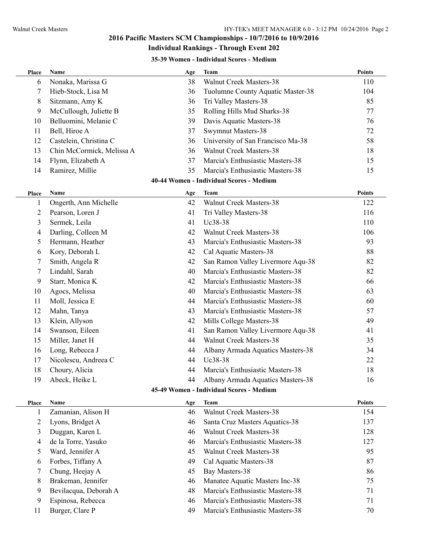# **35-39 Women - Individual Scores - Medium**

| Place | Name                      | Age | <b>Team</b>                              | <b>Points</b> |
|-------|---------------------------|-----|------------------------------------------|---------------|
| 6     | Nonaka, Marissa G         | 38  | Walnut Creek Masters-38                  | 110           |
| 7     | Hieb-Stock, Lisa M        | 36  | Tuolumne County Aquatic Master-38        | 104           |
| 8     | Sitzmann, Amy K           | 36  | Tri Valley Masters-38                    | 85            |
| 9     | McCullough, Juliette B    | 35  | Rolling Hills Mud Sharks-38              | 77            |
| 10    | Belluomini, Melanie C     | 39  | Davis Aquatic Masters-38                 | 76            |
| 11    | Bell, Hiroe A             | 37  | Swymnut Masters-38                       | 72            |
| 12    | Castelein, Christina C    | 36  | University of San Francisco Ma-38        | 58            |
| 13    | Chin McCormick, Melissa A | 36  | <b>Walnut Creek Masters-38</b>           | 18            |
| 14    | Flynn, Elizabeth A        | 37  | Marcia's Enthusiastic Masters-38         | 15            |
| 14    | Ramirez, Millie           | 35  | Marcia's Enthusiastic Masters-38         | 15            |
|       |                           |     | 40-44 Women - Individual Scores - Medium |               |
| Place | Name                      | Age | <b>Team</b>                              | <b>Points</b> |
| 1     | Ongerth, Ann Michelle     | 42  | Walnut Creek Masters-38                  | 122           |
| 2     | Pearson, Loren J          | 41  | Tri Valley Masters-38                    | 116           |
| 3     | Sermek, Leila             | 41  | Uc38-38                                  | 110           |
| 4     | Darling, Colleen M        | 42  | Walnut Creek Masters-38                  | 106           |
| 5     | Hermann, Heather          | 43  | Marcia's Enthusiastic Masters-38         | 93            |
| 6     | Kory, Deborah L           | 42  | Cal Aquatic Masters-38                   | 88            |
| 7     | Smith, Angela R           | 42  | San Ramon Valley Livermore Aqu-38        | 82            |
| 7     | Lindahl, Sarah            | 40  | Marcia's Enthusiastic Masters-38         | 82            |
| 9     | Starr, Monica K           | 42  | Marcia's Enthusiastic Masters-38         | 66            |
| 10    | Agocs, Melissa            | 40  | Marcia's Enthusiastic Masters-38         | 63            |
| 11    | Moll, Jessica E           | 44  | Marcia's Enthusiastic Masters-38         | 60            |
| 12    | Mahn, Tanya               | 43  | Marcia's Enthusiastic Masters-38         | 57            |
| 13    | Klein, Allyson            | 42  | Mills College Masters-38                 | 49            |
| 14    | Swanson, Eileen           | 41  | San Ramon Valley Livermore Aqu-38        | 41            |
| 15    | Miller, Janet H           | 44  | <b>Walnut Creek Masters-38</b>           | 35            |
| 16    | Long, Rebecca J           | 44  | Albany Armada Aquatics Masters-38        | 34            |
| 17    | Nicolescu, Andreea C      | 44  | Uc38-38                                  | 22            |
| 18    | Choury, Alicia            | 44  | Marcia's Enthusiastic Masters-38         | 18            |
| 19    | Abeck, Heike L            | 44  | Albany Armada Aquatics Masters-38        | 16            |
|       |                           |     | 45-49 Women - Individual Scores - Medium |               |
| Place | Name                      | Age | <b>Team</b>                              | <b>Points</b> |
| 1     | Zamanian, Alison H        | 46  | Walnut Creek Masters-38                  | 154           |
| 2     | Lyons, Bridget A          | 46  | Santa Cruz Masters Aquatics-38           | 137           |
| 3     | Duggan, Karen L           | 46  | <b>Walnut Creek Masters-38</b>           | 128           |
| 4     | de la Torre, Yasuko       | 46  | Marcia's Enthusiastic Masters-38         | 127           |
| 5     | Ward, Jennifer A          | 45  | <b>Walnut Creek Masters-38</b>           | 95            |
| 6     | Forbes, Tiffany A         | 49  | Cal Aquatic Masters-38                   | 87            |
| 7     | Chung, Heejay A           | 45  | Bay Masters-38                           | 86            |
| 8     | Brakeman, Jennifer        | 46  | Manatee Aquatic Masters Inc-38           | 75            |
| 9     | Bevilacqua, Deborah A     | 48  | Marcia's Enthusiastic Masters-38         | 71            |
| 9     | Espinosa, Rebecca         | 46  | Marcia's Enthusiastic Masters-38         | 71            |
| 11    | Burger, Clare P           | 49  | Marcia's Enthusiastic Masters-38         | 70            |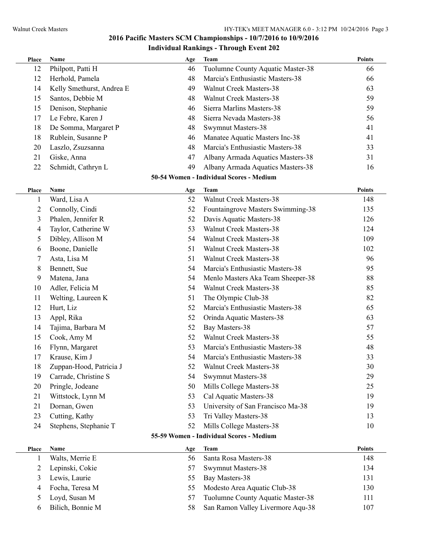| Place          | Name                      | Age | <b>Team</b>                              | <b>Points</b> |
|----------------|---------------------------|-----|------------------------------------------|---------------|
| 12             | Philpott, Patti H         | 46  | Tuolumne County Aquatic Master-38        | 66            |
| 12             | Herhold, Pamela           | 48  | Marcia's Enthusiastic Masters-38         | 66            |
| 14             | Kelly Smethurst, Andrea E | 49  | <b>Walnut Creek Masters-38</b>           | 63            |
| 15             | Santos, Debbie M          | 48  | <b>Walnut Creek Masters-38</b>           | 59            |
| 15             | Denison, Stephanie        | 46  | Sierra Marlins Masters-38                | 59            |
| 17             | Le Febre, Karen J         | 48  | Sierra Nevada Masters-38                 | 56            |
| 18             | De Somma, Margaret P      | 48  | Swymnut Masters-38                       | 41            |
| 18             | Rublein, Susanne P        | 46  | Manatee Aquatic Masters Inc-38           | 41            |
| 20             | Laszlo, Zsuzsanna         | 48  | Marcia's Enthusiastic Masters-38         | 33            |
| 21             | Giske, Anna               | 47  | Albany Armada Aquatics Masters-38        | 31            |
| 22             | Schmidt, Cathryn L        | 49  | Albany Armada Aquatics Masters-38        | 16            |
|                |                           |     | 50-54 Women - Individual Scores - Medium |               |
| Place          | Name                      | Age | <b>Team</b>                              | <b>Points</b> |
| 1              | Ward, Lisa A              | 52  | <b>Walnut Creek Masters-38</b>           | 148           |
| $\overline{c}$ | Connolly, Cindi           | 52  | Fountaingrove Masters Swimming-38        | 135           |
| 3              | Phalen, Jennifer R        | 52  | Davis Aquatic Masters-38                 | 126           |
| 4              | Taylor, Catherine W       | 53  | <b>Walnut Creek Masters-38</b>           | 124           |
| 5              | Dibley, Allison M         | 54  | <b>Walnut Creek Masters-38</b>           | 109           |
| 6              | Boone, Danielle           | 51  | <b>Walnut Creek Masters-38</b>           | 102           |
| 7              | Asta, Lisa M              | 51  | <b>Walnut Creek Masters-38</b>           | 96            |
| 8              | Bennett, Sue              | 54  | Marcia's Enthusiastic Masters-38         | 95            |
| 9              | Matena, Jana              | 54  | Menlo Masters Aka Team Sheeper-38        | 88            |
| 10             | Adler, Felicia M          | 54  | <b>Walnut Creek Masters-38</b>           | 85            |
| 11             | Welting, Laureen K        | 51  | The Olympic Club-38                      | 82            |
| 12             | Hurt, Liz                 | 52  | Marcia's Enthusiastic Masters-38         | 65            |
| 13             | Appl, Rika                | 52  | Orinda Aquatic Masters-38                | 63            |
| 14             | Tajima, Barbara M         | 52  | Bay Masters-38                           | 57            |
| 15             | Cook, Amy M               | 52  | <b>Walnut Creek Masters-38</b>           | 55            |
| 16             | Flynn, Margaret           | 53  | Marcia's Enthusiastic Masters-38         | 48            |
| 17             | Krause, Kim J             | 54  | Marcia's Enthusiastic Masters-38         | 33            |
| 18             | Zuppan-Hood, Patricia J   | 52  | Walnut Creek Masters-38                  | 30            |
| 19             | Carrade, Christine S      | 54  | <b>Swymnut Masters-38</b>                | 29            |
| 20             | Pringle, Jodeane          | 50  | Mills College Masters-38                 | 25            |
| 21             | Wittstock, Lynn M         | 53  | Cal Aquatic Masters-38                   | 19            |
| 21             | Dornan, Gwen              | 53  | University of San Francisco Ma-38        | 19            |
| 23             | Cutting, Kathy            | 53  | Tri Valley Masters-38                    | 13            |
| 24             | Stephens, Stephanie T     | 52  | Mills College Masters-38                 | 10            |
|                |                           |     | 55-59 Women - Individual Scores - Medium |               |
| <b>Place</b>   | Name                      | Age | <b>Team</b>                              | Points        |
| $\mathbf 1$    | Walts, Merrie E           | 56  | Santa Rosa Masters-38                    | 148           |
| 2              | Lepinski, Cokie           | 57  | Swymnut Masters-38                       | 134           |
| 3              | Lewis, Laurie             | 55  | Bay Masters-38                           | 131           |
| 4              | Focha, Teresa M           | 55  | Modesto Area Aquatic Club-38             | 130           |
| 5              | Loyd, Susan M             | 57  | Tuolumne County Aquatic Master-38        | 111           |

Bilich, Bonnie M 58 San Ramon Valley Livermore Aqu-38 107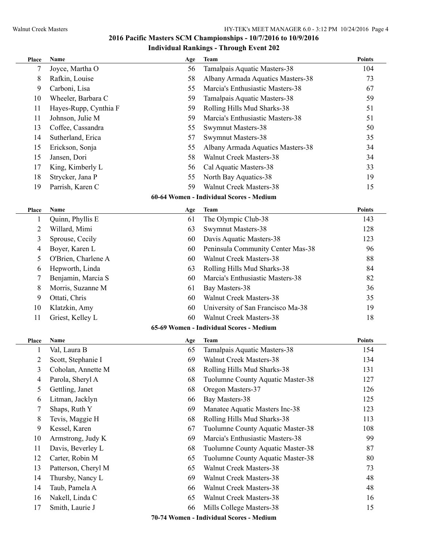| Place | Name                  | Age | <b>Team</b>                              | <b>Points</b> |
|-------|-----------------------|-----|------------------------------------------|---------------|
| 7     | Joyce, Martha O       | 56  | Tamalpais Aquatic Masters-38             | 104           |
| 8     | Rafkin, Louise        | 58  | Albany Armada Aquatics Masters-38        | 73            |
| 9     | Carboni, Lisa         | 55  | Marcia's Enthusiastic Masters-38         | 67            |
| 10    | Wheeler, Barbara C    | 59  | Tamalpais Aquatic Masters-38             | 59            |
| 11    | Hayes-Rupp, Cynthia F | 59  | Rolling Hills Mud Sharks-38              | 51            |
| 11    | Johnson, Julie M      | 59  | Marcia's Enthusiastic Masters-38         | 51            |
| 13    | Coffee, Cassandra     | 55  | Swymnut Masters-38                       | 50            |
| 14    | Sutherland, Erica     | 57  | <b>Swymnut Masters-38</b>                | 35            |
| 15    | Erickson, Sonja       | 55  | Albany Armada Aquatics Masters-38        | 34            |
| 15    | Jansen, Dori          | 58  | <b>Walnut Creek Masters-38</b>           | 34            |
| 17    | King, Kimberly L      | 56  | Cal Aquatic Masters-38                   | 33            |
| 18    | Strycker, Jana P      | 55  | North Bay Aquatics-38                    | 19            |
| 19    | Parrish, Karen C      | 59  | <b>Walnut Creek Masters-38</b>           | 15            |
|       |                       |     | 60-64 Women - Individual Scores - Medium |               |
| Place | Name                  | Age | <b>Team</b>                              | <b>Points</b> |
| 1     | Quinn, Phyllis E      | 61  | The Olympic Club-38                      | 143           |
| 2     | Willard, Mimi         | 63  | <b>Swymnut Masters-38</b>                | 128           |
| 3     | Sprouse, Cecily       | 60  | Davis Aquatic Masters-38                 | 123           |
| 4     | Boyer, Karen L        | 60  | Peninsula Community Center Mas-38        | 96            |
| 5     | O'Brien, Charlene A   | 60  | <b>Walnut Creek Masters-38</b>           | 88            |
| 6     | Hepworth, Linda       | 63  | Rolling Hills Mud Sharks-38              | 84            |
| 7     | Benjamin, Marcia S    | 60  | Marcia's Enthusiastic Masters-38         | 82            |
| 8     | Morris, Suzanne M     | 61  | Bay Masters-38                           | 36            |
| 9     | Ottati, Chris         | 60  | <b>Walnut Creek Masters-38</b>           | 35            |
| 10    | Klatzkin, Amy         | 60  | University of San Francisco Ma-38        | 19            |
| 11    | Griest, Kelley L      | 60  | <b>Walnut Creek Masters-38</b>           | 18            |
|       |                       |     | 65-69 Women - Individual Scores - Medium |               |
| Place | Name                  | Age | Team                                     | <b>Points</b> |
| 1     | Val, Laura B          | 65  | Tamalpais Aquatic Masters-38             | 154           |
| 2     | Scott, Stephanie I    | 69  | Walnut Creek Masters-38                  | 134           |
| 3     | Coholan, Annette M    | 68  | Rolling Hills Mud Sharks-38              | 131           |
| 4     | Parola, Sheryl A      | 68  | Tuolumne County Aquatic Master-38        | 127           |
| 5     | Gettling, Janet       | 68  | Oregon Masters-37                        | 126           |
| 6     | Litman, Jacklyn       | 66  | Bay Masters-38                           | 125           |
| 7     | Shaps, Ruth Y         | 69  | Manatee Aquatic Masters Inc-38           | 123           |
| 8     | Tevis, Maggie H       | 68  | Rolling Hills Mud Sharks-38              | 113           |
| 9     | Kessel, Karen         | 67  | Tuolumne County Aquatic Master-38        | 108           |
| 10    | Armstrong, Judy K     | 69  | Marcia's Enthusiastic Masters-38         | 99            |
| 11    | Davis, Beverley L     | 68  | Tuolumne County Aquatic Master-38        | 87            |
| 12    | Carter, Robin M       | 65  | Tuolumne County Aquatic Master-38        | 80            |
| 13    | Patterson, Cheryl M   | 65  | Walnut Creek Masters-38                  | 73            |
| 14    | Thursby, Nancy L      | 69  | <b>Walnut Creek Masters-38</b>           | 48            |
| 14    | Taub, Pamela A        | 66  | <b>Walnut Creek Masters-38</b>           | 48            |
| 16    | Nakell, Linda C       | 65  | <b>Walnut Creek Masters-38</b>           | 16            |
| 17    | Smith, Laurie J       | 66  | Mills College Masters-38                 | 15            |
|       |                       |     | 70-74 Women - Individual Scores - Medium |               |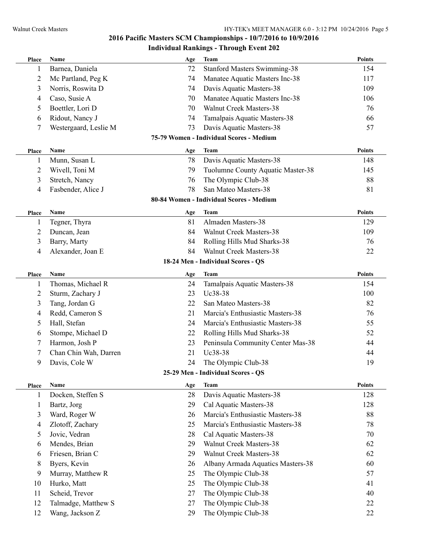| Place        | Name                  | Age       | <b>Team</b>                                                   | <b>Points</b>        |
|--------------|-----------------------|-----------|---------------------------------------------------------------|----------------------|
| 1            | Barnea, Daniela       | 72        | <b>Stanford Masters Swimming-38</b>                           | 154                  |
| 2            | Mc Partland, Peg K    | 74        | Manatee Aquatic Masters Inc-38                                | 117                  |
| 3            | Norris, Roswita D     | 74        | Davis Aquatic Masters-38                                      | 109                  |
| 4            | Caso, Susie A         | 70        | Manatee Aquatic Masters Inc-38                                | 106                  |
| 5            | Boettler, Lori D      | 70        | Walnut Creek Masters-38                                       | 76                   |
| 6            | Ridout, Nancy J       | 74        | Tamalpais Aquatic Masters-38                                  | 66                   |
| 7            | Westergaard, Leslie M | 73        | Davis Aquatic Masters-38                                      | 57                   |
|              |                       |           | 75-79 Women - Individual Scores - Medium                      |                      |
| <b>Place</b> | Name                  | Age       | <b>Team</b>                                                   | <b>Points</b>        |
| $\mathbf{I}$ | Munn, Susan L         | 78        | Davis Aquatic Masters-38                                      | 148                  |
| 2            | Wivell, Toni M        | 79        | Tuolumne County Aquatic Master-38                             | 145                  |
| 3            | Stretch, Nancy        | 76        | The Olympic Club-38                                           | 88                   |
| 4            | Fasbender, Alice J    | 78        | San Mateo Masters-38                                          | 81                   |
|              |                       |           | 80-84 Women - Individual Scores - Medium                      |                      |
|              |                       |           |                                                               |                      |
| Place        | Name<br>Tegner, Thyra | Age<br>81 | <b>Team</b><br>Almaden Masters-38                             | <b>Points</b><br>129 |
| 1            |                       | 84        | <b>Walnut Creek Masters-38</b>                                | 109                  |
| 2            | Duncan, Jean          |           |                                                               |                      |
| 3            | Barry, Marty          | 84        | Rolling Hills Mud Sharks-38<br><b>Walnut Creek Masters-38</b> | 76                   |
| 4            | Alexander, Joan E     | 84        |                                                               | 22                   |
|              |                       |           | 18-24 Men - Individual Scores - QS                            |                      |
| Place        | Name                  | Age       | <b>Team</b>                                                   | Points               |
| 1            | Thomas, Michael R     | 24        | Tamalpais Aquatic Masters-38                                  | 154                  |
| 2            | Sturm, Zachary J      | 23        | Uc38-38                                                       | 100                  |
| 3            | Tang, Jordan G        | 22        | San Mateo Masters-38                                          | 82                   |
| 4            | Redd, Cameron S       | 21        | Marcia's Enthusiastic Masters-38                              | 76                   |
| 5            | Hall, Stefan          | 24        | Marcia's Enthusiastic Masters-38                              | 55                   |
| 6            | Stompe, Michael D     | 22        | Rolling Hills Mud Sharks-38                                   | 52                   |
| 7            | Harmon, Josh P        | 23        | Peninsula Community Center Mas-38                             | 44                   |
| 7            | Chan Chin Wah, Darren | 21        | Uc38-38                                                       | 44                   |
| 9            | Davis, Cole W         | 24        | The Olympic Club-38                                           | 19                   |
|              |                       |           | 25-29 Men - Individual Scores - QS                            |                      |
| Place        | Name                  | Age       | <b>Team</b>                                                   | <b>Points</b>        |
| 1            | Docken, Steffen S     | 28        | Davis Aquatic Masters-38                                      | 128                  |
| 1            | Bartz, Jorg           | 29        | Cal Aquatic Masters-38                                        | 128                  |
| 3            | Ward, Roger W         | 26        | Marcia's Enthusiastic Masters-38                              | 88                   |
| 4            | Zlotoff, Zachary      | 25        | Marcia's Enthusiastic Masters-38                              | 78                   |
| 5            | Jovic, Vedran         | 28        | Cal Aquatic Masters-38                                        | 70                   |
| 6            | Mendes, Brian         | 29        | Walnut Creek Masters-38                                       | 62                   |
| 6            | Friesen, Brian C      | 29        | <b>Walnut Creek Masters-38</b>                                | 62                   |
| 8            | Byers, Kevin          | 26        | Albany Armada Aquatics Masters-38                             | 60                   |
| 9            | Murray, Matthew R     | 25        | The Olympic Club-38                                           | 57                   |
| 10           | Hurko, Matt           | 25        | The Olympic Club-38                                           | 41                   |
| 11           | Scheid, Trevor        | 27        | The Olympic Club-38                                           | 40                   |
| 12           | Talmadge, Matthew S   | 27        | The Olympic Club-38                                           | 22                   |
| 12           | Wang, Jackson Z       | 29        | The Olympic Club-38                                           | 22                   |
|              |                       |           |                                                               |                      |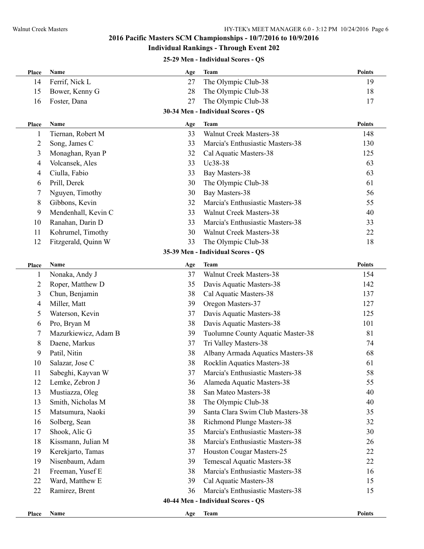# **2016 Pacific Masters SCM Championships - 10/7/2016 to 10/9/2016**

#### **Individual Rankings - Through Event 202**

#### **25-29 Men - Individual Scores - QS**

| Place                   | Name                 | Age | <b>Team</b>                        | <b>Points</b> |
|-------------------------|----------------------|-----|------------------------------------|---------------|
| 14                      | Ferrif, Nick L       | 27  | The Olympic Club-38                | 19            |
| 15                      | Bower, Kenny G       | 28  | The Olympic Club-38                | 18            |
| 16                      | Foster, Dana         | 27  | The Olympic Club-38                | 17            |
|                         |                      |     | 30-34 Men - Individual Scores - QS |               |
| Place                   | Name                 | Age | <b>Team</b>                        | <b>Points</b> |
| 1                       | Tiernan, Robert M    | 33  | <b>Walnut Creek Masters-38</b>     | 148           |
| $\overline{\mathbf{c}}$ | Song, James C        | 33  | Marcia's Enthusiastic Masters-38   | 130           |
| 3                       | Monaghan, Ryan P     | 32  | Cal Aquatic Masters-38             | 125           |
| 4                       | Volcansek, Ales      | 33  | Uc38-38                            | 63            |
| 4                       | Ciulla, Fabio        | 33  | Bay Masters-38                     | 63            |
| 6                       | Prill, Derek         | 30  | The Olympic Club-38                | 61            |
| 7                       | Nguyen, Timothy      | 30  | Bay Masters-38                     | 56            |
| 8                       | Gibbons, Kevin       | 32  | Marcia's Enthusiastic Masters-38   | 55            |
| 9                       | Mendenhall, Kevin C  | 33  | <b>Walnut Creek Masters-38</b>     | 40            |
| 10                      | Ranahan, Darin D     | 33  | Marcia's Enthusiastic Masters-38   | 33            |
| 11                      | Kohrumel, Timothy    | 30  | <b>Walnut Creek Masters-38</b>     | 22            |
| 12                      | Fitzgerald, Quinn W  | 33  | The Olympic Club-38                | 18            |
|                         |                      |     | 35-39 Men - Individual Scores - QS |               |
| Place                   | <b>Name</b>          | Age | <b>Team</b>                        | <b>Points</b> |
| 1                       | Nonaka, Andy J       | 37  | <b>Walnut Creek Masters-38</b>     | 154           |
| 2                       | Roper, Matthew D     | 35  | Davis Aquatic Masters-38           | 142           |
| 3                       | Chun, Benjamin       | 38  | Cal Aquatic Masters-38             | 137           |
| 4                       | Miller, Matt         | 39  | Oregon Masters-37                  | 127           |
| 5                       | Waterson, Kevin      | 37  | Davis Aquatic Masters-38           | 125           |
| 6                       | Pro, Bryan M         | 38  | Davis Aquatic Masters-38           | 101           |
| 7                       | Mazurkiewicz, Adam B | 39  | Tuolumne County Aquatic Master-38  | 81            |
| 8                       | Daene, Markus        | 37  | Tri Valley Masters-38              | 74            |
| 9                       | Patil, Nitin         | 38  | Albany Armada Aquatics Masters-38  | 68            |
| 10                      | Salazar, Jose C      | 38  | Rocklin Aquatics Masters-38        | 61            |
| 11                      | Sabeghi, Kayvan W    | 37  | Marcia's Enthusiastic Masters-38   | 58            |
| 12                      | Lemke, Zebron J      | 36  | Alameda Aquatic Masters-38         | 55            |
| 13                      | Mustiazza, Oleg      | 38  | San Mateo Masters-38               | 40            |
| 13                      | Smith, Nicholas M    | 38  | The Olympic Club-38                | 40            |
| 15                      | Matsumura, Naoki     | 39  | Santa Clara Swim Club Masters-38   | 35            |
| 16                      | Solberg, Sean        | 38  | Richmond Plunge Masters-38         | 32            |
| 17                      | Shook, Alic G        | 35  | Marcia's Enthusiastic Masters-38   | 30            |
| 18                      | Kissmann, Julian M   | 38  | Marcia's Enthusiastic Masters-38   | 26            |
| 19                      | Kerekjarto, Tamas    | 37  | Houston Cougar Masters-25          | 22            |
| 19                      | Nisenbaum, Adam      | 39  | Temescal Aquatic Masters-38        | 22            |
| 21                      | Freeman, Yusef E     | 38  | Marcia's Enthusiastic Masters-38   | 16            |
| 22                      | Ward, Matthew E      | 39  | Cal Aquatic Masters-38             | 15            |
| 22                      | Ramirez, Brent       | 36  | Marcia's Enthusiastic Masters-38   | 15            |
|                         |                      |     | 40-44 Men - Individual Scores - QS |               |
| Place                   | Name                 | Age | <b>Team</b>                        | <b>Points</b> |
|                         |                      |     |                                    |               |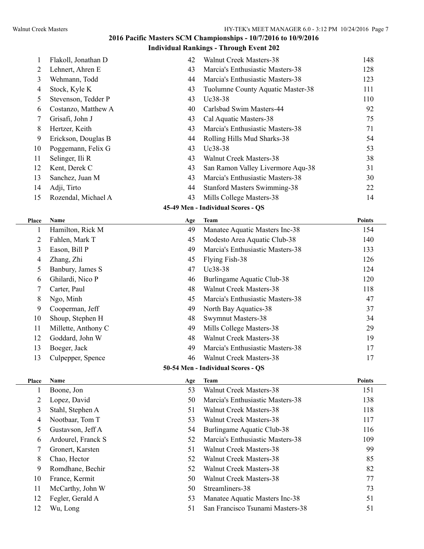# **2016 Pacific Masters SCM Championships - 10/7/2016 to 10/9/2016**

## **Individual Rankings - Through Event 202**

|    | Flakoll, Jonathan D | 42 | Walnut Creek Masters-38             | 148 |
|----|---------------------|----|-------------------------------------|-----|
| 2  | Lehnert, Ahren E    | 43 | Marcia's Enthusiastic Masters-38    | 128 |
| 3  | Wehmann, Todd       | 44 | Marcia's Enthusiastic Masters-38    | 123 |
| 4  | Stock, Kyle K       | 43 | Tuolumne County Aquatic Master-38   | 111 |
| 5. | Stevenson, Tedder P | 43 | $Uc38-38$                           | 110 |
| 6  | Costanzo, Matthew A | 40 | Carlsbad Swim Masters-44            | 92  |
|    | Grisafi, John J     | 43 | Cal Aquatic Masters-38              | 75  |
| 8  | Hertzer, Keith      | 43 | Marcia's Enthusiastic Masters-38    | 71  |
| 9  | Erickson, Douglas B | 44 | Rolling Hills Mud Sharks-38         | 54  |
| 10 | Poggemann, Felix G  | 43 | $Uc38-38$                           | 53  |
| 11 | Selinger, Ili R     | 43 | <b>Walnut Creek Masters-38</b>      | 38  |
| 12 | Kent, Derek C       | 43 | San Ramon Valley Livermore Aqu-38   | 31  |
| 13 | Sanchez, Juan M     | 43 | Marcia's Enthusiastic Masters-38    | 30  |
| 14 | Adji, Tirto         | 44 | <b>Stanford Masters Swimming-38</b> | 22  |
| 15 | Rozendal, Michael A | 43 | Mills College Masters-38            | 14  |

#### **45-49 Men - Individual Scores - QS**

| <b>Place</b> | <b>Name</b>                        | Age | <b>Team</b>                      | <b>Points</b> |  |  |
|--------------|------------------------------------|-----|----------------------------------|---------------|--|--|
|              | Hamilton, Rick M                   | 49  | Manatee Aquatic Masters Inc-38   | 154           |  |  |
| 2            | Fahlen, Mark T                     | 45  | Modesto Area Aquatic Club-38     | 140           |  |  |
| 3            | Eason, Bill P                      | 49  | Marcia's Enthusiastic Masters-38 | 133           |  |  |
| 4            | Zhang, Zhi                         | 45  | Flying Fish-38                   | 126           |  |  |
| 5            | Banbury, James S                   | 47  | Uc38-38                          | 124           |  |  |
| 6            | Ghilardi, Nico P                   | 46  | Burlingame Aquatic Club-38       | 120           |  |  |
|              | Carter, Paul                       | 48  | Walnut Creek Masters-38          | 118           |  |  |
| 8            | Ngo, Minh                          | 45  | Marcia's Enthusiastic Masters-38 | 47            |  |  |
| 9            | Cooperman, Jeff                    | 49  | North Bay Aquatics-38            | 37            |  |  |
| 10           | Shoup, Stephen H                   | 48  | <b>Swymnut Masters-38</b>        | 34            |  |  |
| 11           | Millette, Anthony C                | 49  | Mills College Masters-38         | 29            |  |  |
| 12           | Goddard, John W                    | 48  | Walnut Creek Masters-38          | 19            |  |  |
| 13           | Boeger, Jack                       | 49  | Marcia's Enthusiastic Masters-38 | 17            |  |  |
| 13           | Culpepper, Spence                  | 46  | Walnut Creek Masters-38          | 17            |  |  |
|              | 50-54 Men - Individual Scores - QS |     |                                  |               |  |  |

| Place | <b>Name</b>        | Age | <b>Team</b>                      | <b>Points</b> |
|-------|--------------------|-----|----------------------------------|---------------|
|       | Boone, Jon         | 53  | Walnut Creek Masters-38          | 151           |
| 2     | Lopez, David       | 50  | Marcia's Enthusiastic Masters-38 | 138           |
| 3     | Stahl, Stephen A   | 51  | Walnut Creek Masters-38          | 118           |
| 4     | Nootbaar, Tom T    | 53  | Walnut Creek Masters-38          | 117           |
| 5     | Gustavson, Jeff A  | 54  | Burlingame Aquatic Club-38       | 116           |
| 6     | Ardourel, Franck S | 52  | Marcia's Enthusiastic Masters-38 | 109           |
| 7     | Gronert, Karsten   | 51  | Walnut Creek Masters-38          | 99            |
| 8     | Chao, Hector       | 52  | Walnut Creek Masters-38          | 85            |
| 9     | Romdhane, Bechir   | 52  | Walnut Creek Masters-38          | 82            |
| 10    | France, Kermit     | 50  | Walnut Creek Masters-38          | 77            |
| 11    | McCarthy, John W   | 50  | Streamliners-38                  | 73            |
| 12    | Fegler, Gerald A   | 53  | Manatee Aquatic Masters Inc-38   | 51            |
| 12    | Wu, Long           | 51  | San Francisco Tsunami Masters-38 | 51            |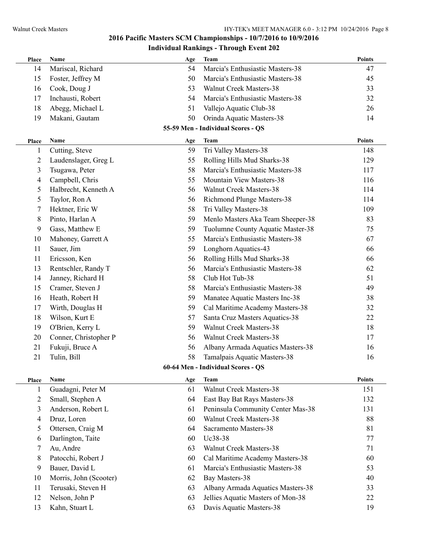| Place | Name                   | Age | <b>Team</b>                        | <b>Points</b> |
|-------|------------------------|-----|------------------------------------|---------------|
| 14    | Mariscal, Richard      | 54  | Marcia's Enthusiastic Masters-38   | 47            |
| 15    | Foster, Jeffrey M      | 50  | Marcia's Enthusiastic Masters-38   | 45            |
| 16    | Cook, Doug J           | 53  | Walnut Creek Masters-38            | 33            |
| 17    | Inchausti, Robert      | 54  | Marcia's Enthusiastic Masters-38   | 32            |
| 18    | Abegg, Michael L       | 51  | Vallejo Aquatic Club-38            | 26            |
| 19    | Makani, Gautam         | 50  | Orinda Aquatic Masters-38          | 14            |
|       |                        |     | 55-59 Men - Individual Scores - QS |               |
| Place | Name                   | Age | <b>Team</b>                        | <b>Points</b> |
| 1     | Cutting, Steve         | 59  | Tri Valley Masters-38              | 148           |
| 2     | Laudenslager, Greg L   | 55  | Rolling Hills Mud Sharks-38        | 129           |
| 3     | Tsugawa, Peter         | 58  | Marcia's Enthusiastic Masters-38   | 117           |
| 4     | Campbell, Chris        | 55  | Mountain View Masters-38           | 116           |
| 5     | Halbrecht, Kenneth A   | 56  | <b>Walnut Creek Masters-38</b>     | 114           |
| 5     | Taylor, Ron A          | 56  | Richmond Plunge Masters-38         | 114           |
| 7     | Hektner, Eric W        | 58  | Tri Valley Masters-38              | 109           |
| 8     | Pinto, Harlan A        | 59  | Menlo Masters Aka Team Sheeper-38  | 83            |
| 9     | Gass, Matthew E        | 59  | Tuolumne County Aquatic Master-38  | 75            |
| 10    | Mahoney, Garrett A     | 55  | Marcia's Enthusiastic Masters-38   | 67            |
| 11    | Sauer, Jim             | 59  | Longhorn Aquatics-43               | 66            |
| 11    | Ericsson, Ken          | 56  | Rolling Hills Mud Sharks-38        | 66            |
| 13    | Rentschler, Randy T    | 56  | Marcia's Enthusiastic Masters-38   | 62            |
| 14    | Janney, Richard H      | 58  | Club Hot Tub-38                    | 51            |
| 15    | Cramer, Steven J       | 58  | Marcia's Enthusiastic Masters-38   | 49            |
| 16    | Heath, Robert H        | 59  | Manatee Aquatic Masters Inc-38     | 38            |
| 17    | Wirth, Douglas H       | 59  | Cal Maritime Academy Masters-38    | 32            |
| 18    | Wilson, Kurt E         | 57  | Santa Cruz Masters Aquatics-38     | 22            |
| 19    | O'Brien, Kerry L       | 59  | <b>Walnut Creek Masters-38</b>     | 18            |
| 20    | Conner, Christopher P  | 56  | <b>Walnut Creek Masters-38</b>     | 17            |
| 21    | Fukuji, Bruce A        | 56  | Albany Armada Aquatics Masters-38  | 16            |
| 21    | Tulin, Bill            | 58  | Tamalpais Aquatic Masters-38       | 16            |
|       |                        |     | 60-64 Men - Individual Scores - QS |               |
| Place | Name                   | Age | <b>Team</b>                        | <b>Points</b> |
| 1     | Guadagni, Peter M      | 61  | <b>Walnut Creek Masters-38</b>     | 151           |
| 2     | Small, Stephen A       | 64  | East Bay Bat Rays Masters-38       | 132           |
| 3     | Anderson, Robert L     | 61  | Peninsula Community Center Mas-38  | 131           |
| 4     | Druz, Loren            | 60  | <b>Walnut Creek Masters-38</b>     | 88            |
| 5     | Ottersen, Craig M      | 64  | Sacramento Masters-38              | 81            |
| 6     | Darlington, Taite      | 60  | Uc38-38                            | 77            |
| 7     | Au, Andre              | 63  | <b>Walnut Creek Masters-38</b>     | 71            |
| 8     | Patocchi, Robert J     | 60  | Cal Maritime Academy Masters-38    | 60            |
| 9     | Bauer, David L         | 61  | Marcia's Enthusiastic Masters-38   | 53            |
| 10    | Morris, John (Scooter) | 62  | Bay Masters-38                     | 40            |
| 11    | Terusaki, Steven H     | 63  | Albany Armada Aquatics Masters-38  | 33            |
| 12    | Nelson, John P         | 63  | Jellies Aquatic Masters of Mon-38  | 22            |
| 13    | Kahn, Stuart L         | 63  | Davis Aquatic Masters-38           | 19            |
|       |                        |     |                                    |               |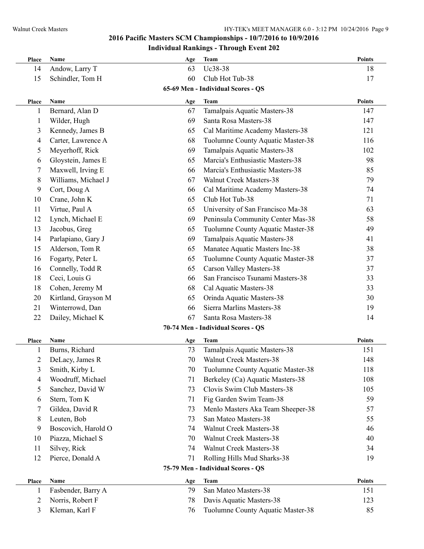| Place          | Name                | Age | <b>Team</b>                        | <b>Points</b> |
|----------------|---------------------|-----|------------------------------------|---------------|
| 14             | Andow, Larry T      | 63  | Uc38-38                            | 18            |
| 15             | Schindler, Tom H    | 60  | Club Hot Tub-38                    | 17            |
|                |                     |     | 65-69 Men - Individual Scores - QS |               |
| Place          | Name                | Age | <b>Team</b>                        | <b>Points</b> |
| 1              | Bernard, Alan D     | 67  | Tamalpais Aquatic Masters-38       | 147           |
| 1              | Wilder, Hugh        | 69  | Santa Rosa Masters-38              | 147           |
| 3              | Kennedy, James B    | 65  | Cal Maritime Academy Masters-38    | 121           |
| 4              | Carter, Lawrence A  | 68  | Tuolumne County Aquatic Master-38  | 116           |
| 5              | Meyerhoff, Rick     | 69  | Tamalpais Aquatic Masters-38       | 102           |
| 6              | Gloystein, James E  | 65  | Marcia's Enthusiastic Masters-38   | 98            |
| 7              | Maxwell, Irving E   | 66  | Marcia's Enthusiastic Masters-38   | 85            |
| 8              | Williams, Michael J | 67  | <b>Walnut Creek Masters-38</b>     | 79            |
| 9              | Cort, Doug A        | 66  | Cal Maritime Academy Masters-38    | 74            |
| 10             | Crane, John K       | 65  | Club Hot Tub-38                    | 71            |
| 11             | Virtue, Paul A      | 65  | University of San Francisco Ma-38  | 63            |
| 12             | Lynch, Michael E    | 69  | Peninsula Community Center Mas-38  | 58            |
| 13             | Jacobus, Greg       | 65  | Tuolumne County Aquatic Master-38  | 49            |
| 14             | Parlapiano, Gary J  | 69  | Tamalpais Aquatic Masters-38       | 41            |
| 15             | Alderson, Tom R     | 65  | Manatee Aquatic Masters Inc-38     | 38            |
| 16             | Fogarty, Peter L    | 65  | Tuolumne County Aquatic Master-38  | 37            |
| 16             | Connelly, Todd R    | 65  | Carson Valley Masters-38           | 37            |
| 18             | Ceci, Louis G       | 66  | San Francisco Tsunami Masters-38   | 33            |
| 18             | Cohen, Jeremy M     | 68  | Cal Aquatic Masters-38             | 33            |
| 20             | Kirtland, Grayson M | 65  | Orinda Aquatic Masters-38          | 30            |
| 21             | Winterrowd, Dan     | 66  | Sierra Marlins Masters-38          | 19            |
| 22             | Dailey, Michael K   | 67  | Santa Rosa Masters-38              | 14            |
|                |                     |     | 70-74 Men - Individual Scores - QS |               |
| Place          | Name                | Age | <b>Team</b>                        | Points        |
| 1              | Burns, Richard      | 73  | Tamalpais Aquatic Masters-38       | 151           |
| $\overline{c}$ | DeLacy, James R     | 70  | Walnut Creek Masters-38            | 148           |
| 3              | Smith, Kirby L      | 70  | Tuolumne County Aquatic Master-38  | 118           |
| 4              | Woodruff, Michael   | 71  | Berkeley (Ca) Aquatic Masters-38   | 108           |
| 5              | Sanchez, David W    | 73  | Clovis Swim Club Masters-38        | 105           |
| 6              | Stern, Tom K        | 71  | Fig Garden Swim Team-38            | 59            |
| 7              | Gildea, David R     | 73  | Menlo Masters Aka Team Sheeper-38  | 57            |
| 8              | Leuten, Bob         | 73  | San Mateo Masters-38               | 55            |
| 9              | Boscovich, Harold O | 74  | <b>Walnut Creek Masters-38</b>     | 46            |
| 10             | Piazza, Michael S   | 70  | Walnut Creek Masters-38            | 40            |
| 11             | Silvey, Rick        | 74  | Walnut Creek Masters-38            | 34            |
| 12             | Pierce, Donald A    | 71  | Rolling Hills Mud Sharks-38        | 19            |
|                |                     |     | 75-79 Men - Individual Scores - QS |               |
| Place          | Name                | Age | <b>Team</b>                        | <b>Points</b> |
| 1              | Fasbender, Barry A  | 79  | San Mateo Masters-38               | 151           |
| 2              | Norris, Robert F    | 78  | Davis Aquatic Masters-38           | 123           |
| 3              | Kleman, Karl F      | 76  | Tuolumne County Aquatic Master-38  | 85            |